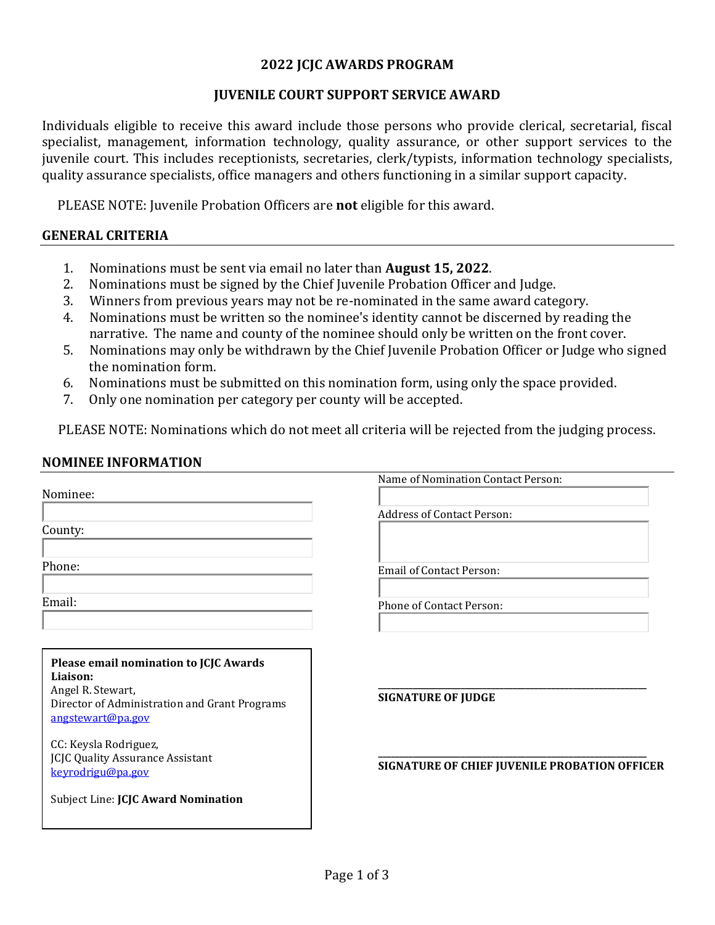### **2022 JCJC AWARDS PROGRAM**

### **JUVENILE COURT SUPPORT SERVICE AWARD**

Individuals eligible to receive this award include those persons who provide clerical, secretarial, fiscal specialist, management, information technology, quality assurance, or other support services to the juvenile court. This includes receptionists, secretaries, clerk/typists, information technology specialists, quality assurance specialists, office managers and others functioning in a similar support capacity.

PLEASE NOTE: Juvenile Probation Officers are **not** eligible for this award.

### **GENERAL CRITERIA**

- 1. Nominations must be sent via email no later than **August 15, 2022**.
- 2. Nominations must be signed by the Chief Juvenile Probation Officer and Judge.
- 3. Winners from previous years may not be re-nominated in the same award category.<br>4. Nominations must be written so the nominee's identity cannot be discerned by read
- 4. Nominations must be written so the nominee's identity cannot be discerned by reading the narrative. The name and county of the nominee should only be written on the front cover.
- 5. Nominations may only be withdrawn by the Chief Juvenile Probation Officer or Judge who signed the nomination form.
- 6. Nominations must be submitted on this nomination form, using only the space provided.<br>7. Only one nomination per category per county will be accepted.
- 7. Only one nomination per category per county will be accepted.

PLEASE NOTE: Nominations which do not meet all criteria will be rejected from the judging process.

#### **NOMINEE INFORMATION**

| Name of Nomination Contact Person:                                                                                                 |
|------------------------------------------------------------------------------------------------------------------------------------|
|                                                                                                                                    |
| <b>Address of Contact Person:</b>                                                                                                  |
|                                                                                                                                    |
| <b>Email of Contact Person:</b>                                                                                                    |
| <b>Phone of Contact Person:</b>                                                                                                    |
| <b>SIGNATURE OF JUDGE</b><br>Director of Administration and Grant Programs<br><b>SIGNATURE OF CHIEF JUVENILE PROBATION OFFICER</b> |
|                                                                                                                                    |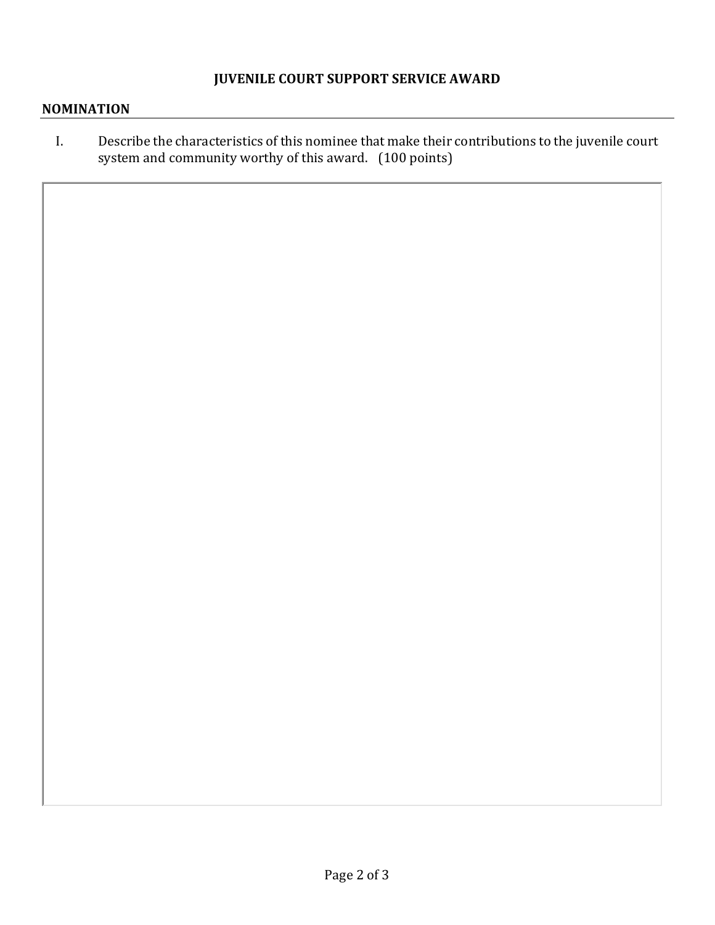## **JUVENILE COURT SUPPORT SERVICE AWARD**

### **NOMINATION**

I. Describe the characteristics of this nominee that make their contributions to the juvenile court system and community worthy of this award. (100 points)